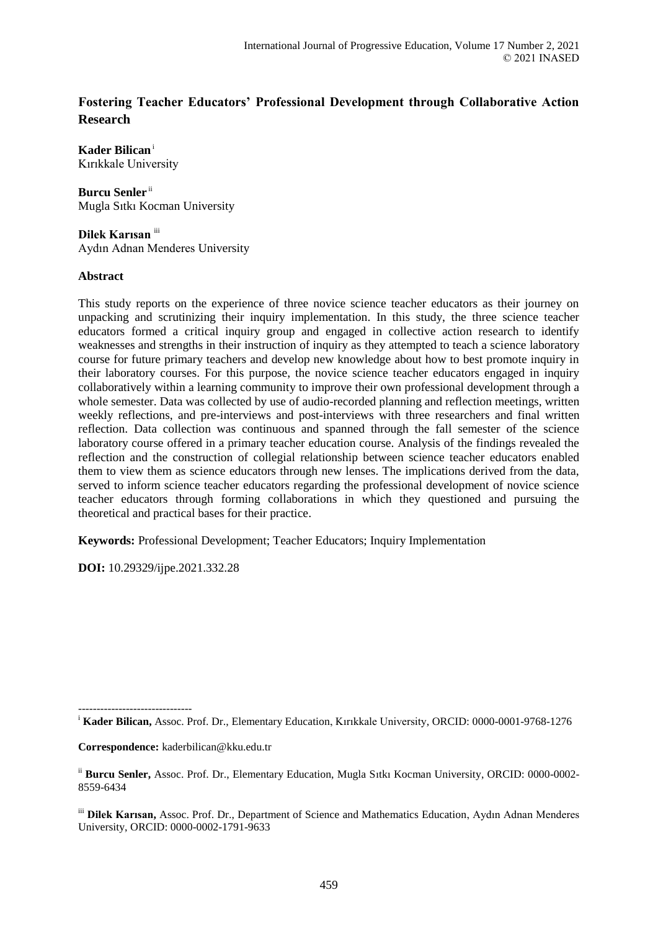# **Fostering Teacher Educators' Professional Development through Collaborative Action Research**

**Kader Bilican**<sup>i</sup> Kırıkkale University

**Burcu Senler** ii Mugla Sıtkı Kocman University

**Dilek Karısan** iii Aydın Adnan Menderes University

## **Abstract**

This study reports on the experience of three novice science teacher educators as their journey on unpacking and scrutinizing their inquiry implementation. In this study, the three science teacher educators formed a critical inquiry group and engaged in collective action research to identify weaknesses and strengths in their instruction of inquiry as they attempted to teach a science laboratory course for future primary teachers and develop new knowledge about how to best promote inquiry in their laboratory courses. For this purpose, the novice science teacher educators engaged in inquiry collaboratively within a learning community to improve their own professional development through a whole semester. Data was collected by use of audio-recorded planning and reflection meetings, written weekly reflections, and pre-interviews and post-interviews with three researchers and final written reflection. Data collection was continuous and spanned through the fall semester of the science laboratory course offered in a primary teacher education course. Analysis of the findings revealed the reflection and the construction of collegial relationship between science teacher educators enabled them to view them as science educators through new lenses. The implications derived from the data, served to inform science teacher educators regarding the professional development of novice science teacher educators through forming collaborations in which they questioned and pursuing the theoretical and practical bases for their practice.

**Keywords:** Professional Development; Teacher Educators; Inquiry Implementation

**DOI:** 10.29329/ijpe.2021.332.28

------------------------------ <sup>i</sup> **Kader Bilican,** Assoc. Prof. Dr., Elementary Education, Kırıkkale University, ORCID: 0000-0001-9768-1276

**Correspondence:** kaderbilican@kku.edu.tr

ii **Burcu Senler,** Assoc. Prof. Dr., Elementary Education, Mugla Sıtkı Kocman University, ORCID: 0000-0002- 8559-6434

iii **Dilek Karısan,** Assoc. Prof. Dr., Department of Science and Mathematics Education, Aydın Adnan Menderes University, ORCID: 0000-0002-1791-9633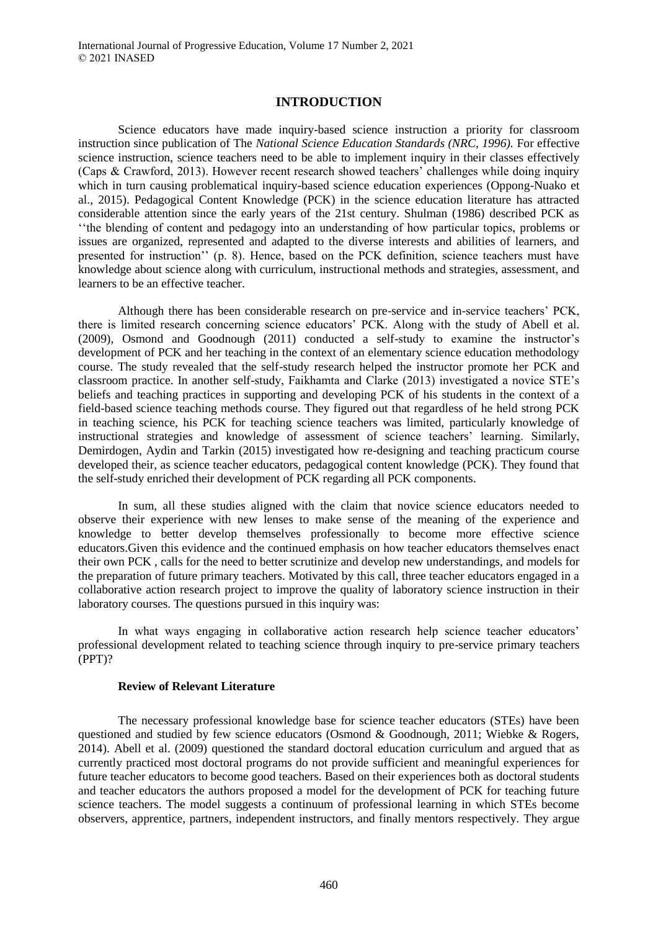## **INTRODUCTION**

Science educators have made inquiry-based science instruction a priority for classroom instruction since publication of The *National Science Education Standards (NRC, 1996).* For effective science instruction, science teachers need to be able to implement inquiry in their classes effectively (Caps & Crawford, 2013). However recent research showed teachers' challenges while doing inquiry which in turn causing problematical inquiry-based science education experiences (Oppong-Nuako et al., 2015). Pedagogical Content Knowledge (PCK) in the science education literature has attracted considerable attention since the early years of the 21st century. Shulman (1986) described PCK as ''the blending of content and pedagogy into an understanding of how particular topics, problems or issues are organized, represented and adapted to the diverse interests and abilities of learners, and presented for instruction'' (p. 8). Hence, based on the PCK definition, science teachers must have knowledge about science along with curriculum, instructional methods and strategies, assessment, and learners to be an effective teacher.

Although there has been considerable research on pre-service and in-service teachers' PCK, there is limited research concerning science educators' PCK. Along with the study of Abell et al. (2009), Osmond and Goodnough (2011) conducted a self-study to examine the instructor's development of PCK and her teaching in the context of an elementary science education methodology course. The study revealed that the self-study research helped the instructor promote her PCK and classroom practice. In another self-study, Faikhamta and Clarke (2013) investigated a novice STE's beliefs and teaching practices in supporting and developing PCK of his students in the context of a field-based science teaching methods course. They figured out that regardless of he held strong PCK in teaching science, his PCK for teaching science teachers was limited, particularly knowledge of instructional strategies and knowledge of assessment of science teachers' learning. Similarly, Demirdogen, Aydin and Tarkin (2015) investigated how re-designing and teaching practicum course developed their, as science teacher educators, pedagogical content knowledge (PCK). They found that the self-study enriched their development of PCK regarding all PCK components.

In sum, all these studies aligned with the claim that novice science educators needed to observe their experience with new lenses to make sense of the meaning of the experience and knowledge to better develop themselves professionally to become more effective science educators.Given this evidence and the continued emphasis on how teacher educators themselves enact their own PCK , calls for the need to better scrutinize and develop new understandings, and models for the preparation of future primary teachers. Motivated by this call, three teacher educators engaged in a collaborative action research project to improve the quality of laboratory science instruction in their laboratory courses. The questions pursued in this inquiry was:

In what ways engaging in collaborative action research help science teacher educators' professional development related to teaching science through inquiry to pre-service primary teachers (PPT)?

#### **Review of Relevant Literature**

The necessary professional knowledge base for science teacher educators (STEs) have been questioned and studied by few science educators (Osmond & Goodnough, 2011; Wiebke & Rogers, 2014). Abell et al. (2009) questioned the standard doctoral education curriculum and argued that as currently practiced most doctoral programs do not provide sufficient and meaningful experiences for future teacher educators to become good teachers. Based on their experiences both as doctoral students and teacher educators the authors proposed a model for the development of PCK for teaching future science teachers. The model suggests a continuum of professional learning in which STEs become observers, apprentice, partners, independent instructors, and finally mentors respectively. They argue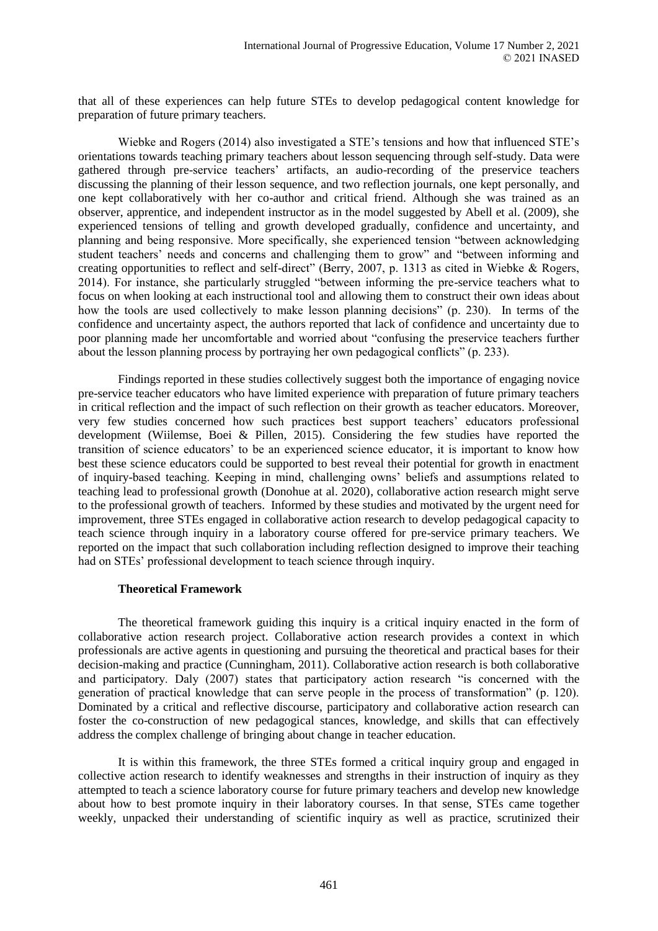that all of these experiences can help future STEs to develop pedagogical content knowledge for preparation of future primary teachers.

Wiebke and Rogers (2014) also investigated a STE's tensions and how that influenced STE's orientations towards teaching primary teachers about lesson sequencing through self-study. Data were gathered through pre-service teachers' artifacts, an audio-recording of the preservice teachers discussing the planning of their lesson sequence, and two reflection journals, one kept personally, and one kept collaboratively with her co-author and critical friend. Although she was trained as an observer, apprentice, and independent instructor as in the model suggested by Abell et al. (2009), she experienced tensions of telling and growth developed gradually, confidence and uncertainty, and planning and being responsive. More specifically, she experienced tension "between acknowledging student teachers' needs and concerns and challenging them to grow" and "between informing and creating opportunities to reflect and self-direct" (Berry, 2007, p. 1313 as cited in Wiebke & Rogers, 2014). For instance, she particularly struggled "between informing the pre-service teachers what to focus on when looking at each instructional tool and allowing them to construct their own ideas about how the tools are used collectively to make lesson planning decisions" (p. 230). In terms of the confidence and uncertainty aspect, the authors reported that lack of confidence and uncertainty due to poor planning made her uncomfortable and worried about "confusing the preservice teachers further about the lesson planning process by portraying her own pedagogical conflicts" (p. 233).

Findings reported in these studies collectively suggest both the importance of engaging novice pre-service teacher educators who have limited experience with preparation of future primary teachers in critical reflection and the impact of such reflection on their growth as teacher educators. Moreover, very few studies concerned how such practices best support teachers' educators professional development (Wiilemse, Boei & Pillen, 2015). Considering the few studies have reported the transition of science educators' to be an experienced science educator, it is important to know how best these science educators could be supported to best reveal their potential for growth in enactment of inquiry-based teaching. Keeping in mind, challenging owns' beliefs and assumptions related to teaching lead to professional growth (Donohue at al. 2020), collaborative action research might serve to the professional growth of teachers. Informed by these studies and motivated by the urgent need for improvement, three STEs engaged in collaborative action research to develop pedagogical capacity to teach science through inquiry in a laboratory course offered for pre-service primary teachers. We reported on the impact that such collaboration including reflection designed to improve their teaching had on STEs' professional development to teach science through inquiry.

## **Theoretical Framework**

The theoretical framework guiding this inquiry is a critical inquiry enacted in the form of collaborative action research project. Collaborative action research provides a context in which professionals are active agents in questioning and pursuing the theoretical and practical bases for their decision-making and practice (Cunningham, 2011). Collaborative action research is both collaborative and participatory. Daly (2007) states that participatory action research "is concerned with the generation of practical knowledge that can serve people in the process of transformation" (p. 120). Dominated by a critical and reflective discourse, participatory and collaborative action research can foster the co-construction of new pedagogical stances, knowledge, and skills that can effectively address the complex challenge of bringing about change in teacher education.

It is within this framework, the three STEs formed a critical inquiry group and engaged in collective action research to identify weaknesses and strengths in their instruction of inquiry as they attempted to teach a science laboratory course for future primary teachers and develop new knowledge about how to best promote inquiry in their laboratory courses. In that sense, STEs came together weekly, unpacked their understanding of scientific inquiry as well as practice, scrutinized their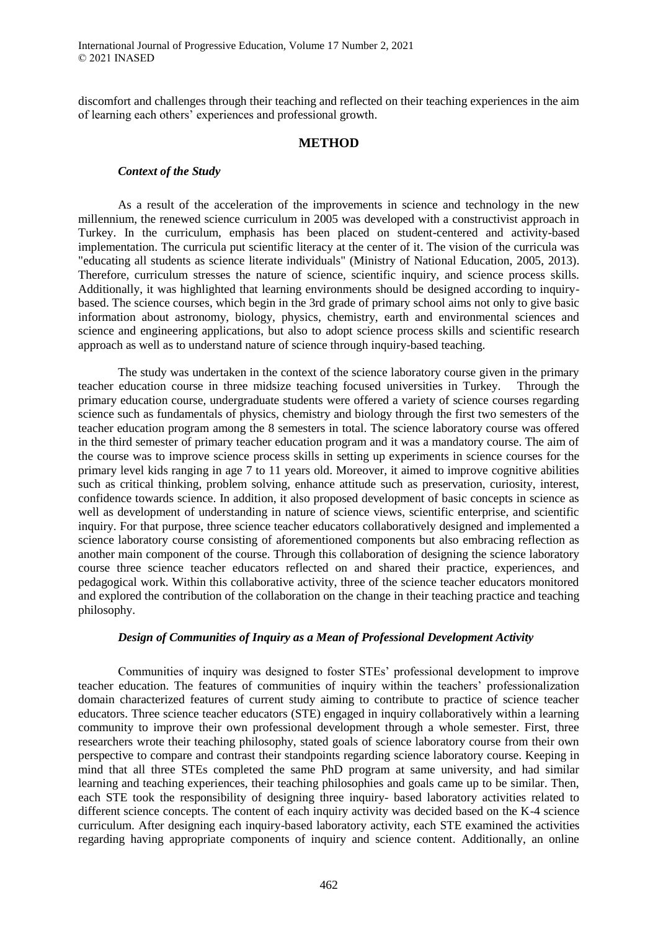discomfort and challenges through their teaching and reflected on their teaching experiences in the aim of learning each others' experiences and professional growth.

## **METHOD**

## *Context of the Study*

As a result of the acceleration of the improvements in science and technology in the new millennium, the renewed science curriculum in 2005 was developed with a constructivist approach in Turkey. In the curriculum, emphasis has been placed on student-centered and activity-based implementation. The curricula put scientific literacy at the center of it. The vision of the curricula was "educating all students as science literate individuals" (Ministry of National Education, 2005, 2013). Therefore, curriculum stresses the nature of science, scientific inquiry, and science process skills. Additionally, it was highlighted that learning environments should be designed according to inquirybased. The science courses, which begin in the 3rd grade of primary school aims not only to give basic information about astronomy, biology, physics, chemistry, earth and environmental sciences and science and engineering applications, but also to adopt science process skills and scientific research approach as well as to understand nature of science through inquiry-based teaching.

The study was undertaken in the context of the science laboratory course given in the primary teacher education course in three midsize teaching focused universities in Turkey. Through the primary education course, undergraduate students were offered a variety of science courses regarding science such as fundamentals of physics, chemistry and biology through the first two semesters of the teacher education program among the 8 semesters in total. The science laboratory course was offered in the third semester of primary teacher education program and it was a mandatory course. The aim of the course was to improve science process skills in setting up experiments in science courses for the primary level kids ranging in age 7 to 11 years old. Moreover, it aimed to improve cognitive abilities such as critical thinking, problem solving, enhance attitude such as preservation, curiosity, interest, confidence towards science. In addition, it also proposed development of basic concepts in science as well as development of understanding in nature of science views, scientific enterprise, and scientific inquiry. For that purpose, three science teacher educators collaboratively designed and implemented a science laboratory course consisting of aforementioned components but also embracing reflection as another main component of the course. Through this collaboration of designing the science laboratory course three science teacher educators reflected on and shared their practice, experiences, and pedagogical work. Within this collaborative activity, three of the science teacher educators monitored and explored the contribution of the collaboration on the change in their teaching practice and teaching philosophy.

## *Design of Communities of Inquiry as a Mean of Professional Development Activity*

Communities of inquiry was designed to foster STEs' professional development to improve teacher education. The features of communities of inquiry within the teachers' professionalization domain characterized features of current study aiming to contribute to practice of science teacher educators. Three science teacher educators (STE) engaged in inquiry collaboratively within a learning community to improve their own professional development through a whole semester. First, three researchers wrote their teaching philosophy, stated goals of science laboratory course from their own perspective to compare and contrast their standpoints regarding science laboratory course. Keeping in mind that all three STEs completed the same PhD program at same university, and had similar learning and teaching experiences, their teaching philosophies and goals came up to be similar. Then, each STE took the responsibility of designing three inquiry- based laboratory activities related to different science concepts. The content of each inquiry activity was decided based on the K-4 science curriculum. After designing each inquiry-based laboratory activity, each STE examined the activities regarding having appropriate components of inquiry and science content. Additionally, an online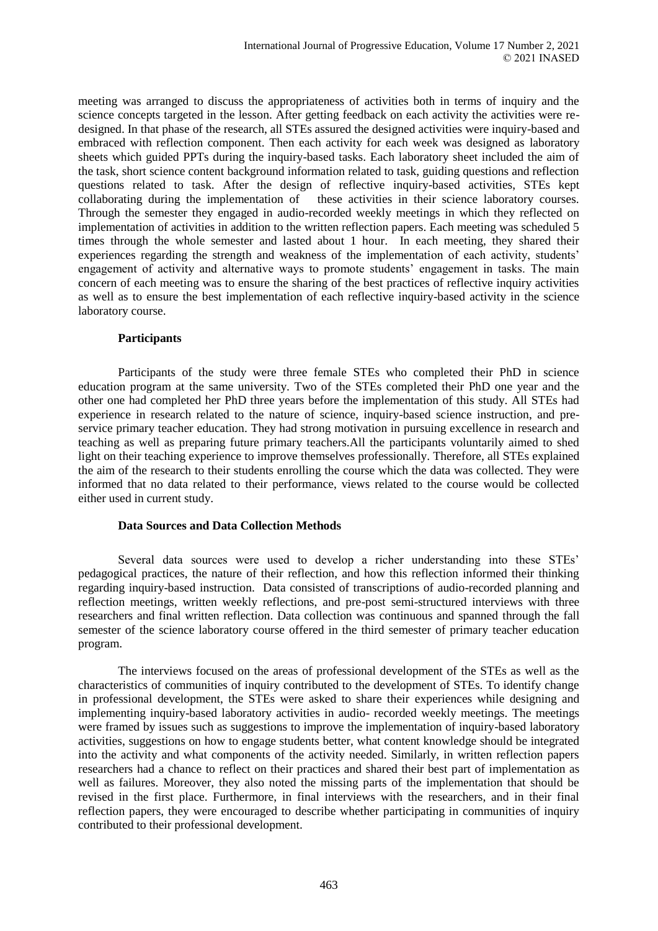meeting was arranged to discuss the appropriateness of activities both in terms of inquiry and the science concepts targeted in the lesson. After getting feedback on each activity the activities were redesigned. In that phase of the research, all STEs assured the designed activities were inquiry-based and embraced with reflection component. Then each activity for each week was designed as laboratory sheets which guided PPTs during the inquiry-based tasks. Each laboratory sheet included the aim of the task, short science content background information related to task, guiding questions and reflection questions related to task. After the design of reflective inquiry-based activities, STEs kept collaborating during the implementation of these activities in their science laboratory courses. Through the semester they engaged in audio-recorded weekly meetings in which they reflected on implementation of activities in addition to the written reflection papers. Each meeting was scheduled 5 times through the whole semester and lasted about 1 hour. In each meeting, they shared their experiences regarding the strength and weakness of the implementation of each activity, students' engagement of activity and alternative ways to promote students' engagement in tasks. The main concern of each meeting was to ensure the sharing of the best practices of reflective inquiry activities as well as to ensure the best implementation of each reflective inquiry-based activity in the science laboratory course.

## **Participants**

Participants of the study were three female STEs who completed their PhD in science education program at the same university. Two of the STEs completed their PhD one year and the other one had completed her PhD three years before the implementation of this study. All STEs had experience in research related to the nature of science, inquiry-based science instruction, and preservice primary teacher education. They had strong motivation in pursuing excellence in research and teaching as well as preparing future primary teachers.All the participants voluntarily aimed to shed light on their teaching experience to improve themselves professionally. Therefore, all STEs explained the aim of the research to their students enrolling the course which the data was collected. They were informed that no data related to their performance, views related to the course would be collected either used in current study.

## **Data Sources and Data Collection Methods**

Several data sources were used to develop a richer understanding into these STEs' pedagogical practices, the nature of their reflection, and how this reflection informed their thinking regarding inquiry-based instruction. Data consisted of transcriptions of audio-recorded planning and reflection meetings, written weekly reflections, and pre-post semi-structured interviews with three researchers and final written reflection. Data collection was continuous and spanned through the fall semester of the science laboratory course offered in the third semester of primary teacher education program.

The interviews focused on the areas of professional development of the STEs as well as the characteristics of communities of inquiry contributed to the development of STEs. To identify change in professional development, the STEs were asked to share their experiences while designing and implementing inquiry-based laboratory activities in audio- recorded weekly meetings. The meetings were framed by issues such as suggestions to improve the implementation of inquiry-based laboratory activities, suggestions on how to engage students better, what content knowledge should be integrated into the activity and what components of the activity needed. Similarly, in written reflection papers researchers had a chance to reflect on their practices and shared their best part of implementation as well as failures. Moreover, they also noted the missing parts of the implementation that should be revised in the first place. Furthermore, in final interviews with the researchers, and in their final reflection papers, they were encouraged to describe whether participating in communities of inquiry contributed to their professional development.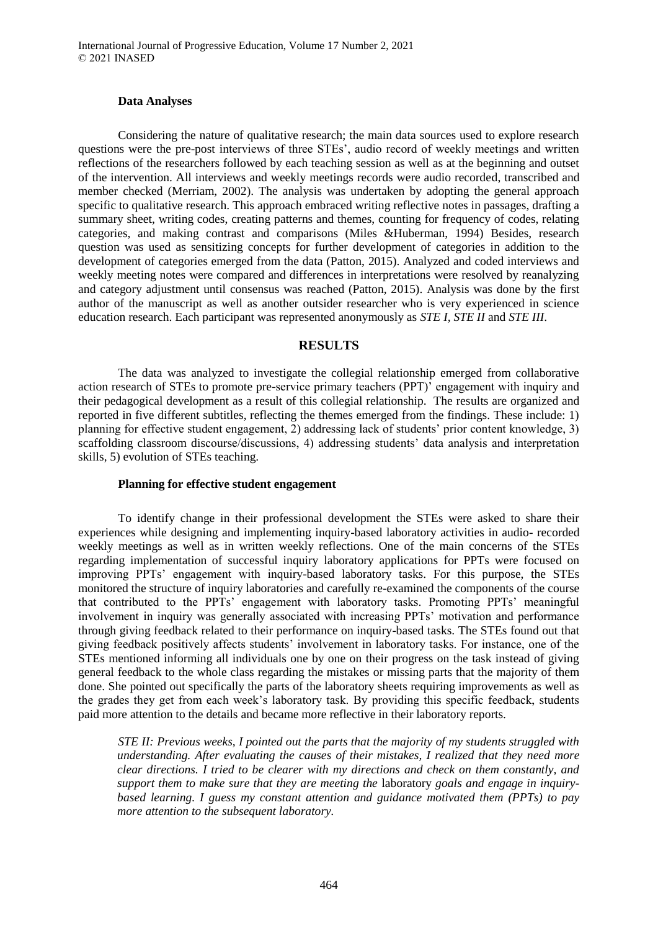#### **Data Analyses**

Considering the nature of qualitative research; the main data sources used to explore research questions were the pre-post interviews of three STEs', audio record of weekly meetings and written reflections of the researchers followed by each teaching session as well as at the beginning and outset of the intervention. All interviews and weekly meetings records were audio recorded, transcribed and member checked (Merriam, 2002). The analysis was undertaken by adopting the general approach specific to qualitative research. This approach embraced writing reflective notes in passages, drafting a summary sheet, writing codes, creating patterns and themes, counting for frequency of codes, relating categories, and making contrast and comparisons (Miles &Huberman, 1994) Besides, research question was used as sensitizing concepts for further development of categories in addition to the development of categories emerged from the data (Patton, 2015). Analyzed and coded interviews and weekly meeting notes were compared and differences in interpretations were resolved by reanalyzing and category adjustment until consensus was reached (Patton, 2015). Analysis was done by the first author of the manuscript as well as another outsider researcher who is very experienced in science education research. Each participant was represented anonymously as *STE I, STE II* and *STE III*.

## **RESULTS**

The data was analyzed to investigate the collegial relationship emerged from collaborative action research of STEs to promote pre-service primary teachers (PPT)' engagement with inquiry and their pedagogical development as a result of this collegial relationship. The results are organized and reported in five different subtitles, reflecting the themes emerged from the findings. These include: 1) planning for effective student engagement, 2) addressing lack of students' prior content knowledge, 3) scaffolding classroom discourse/discussions, 4) addressing students' data analysis and interpretation skills, 5) evolution of STEs teaching.

#### **Planning for effective student engagement**

To identify change in their professional development the STEs were asked to share their experiences while designing and implementing inquiry-based laboratory activities in audio- recorded weekly meetings as well as in written weekly reflections. One of the main concerns of the STEs regarding implementation of successful inquiry laboratory applications for PPTs were focused on improving PPTs' engagement with inquiry-based laboratory tasks. For this purpose, the STEs monitored the structure of inquiry laboratories and carefully re-examined the components of the course that contributed to the PPTs' engagement with laboratory tasks. Promoting PPTs' meaningful involvement in inquiry was generally associated with increasing PPTs' motivation and performance through giving feedback related to their performance on inquiry-based tasks. The STEs found out that giving feedback positively affects students' involvement in laboratory tasks. For instance, one of the STEs mentioned informing all individuals one by one on their progress on the task instead of giving general feedback to the whole class regarding the mistakes or missing parts that the majority of them done. She pointed out specifically the parts of the laboratory sheets requiring improvements as well as the grades they get from each week's laboratory task. By providing this specific feedback, students paid more attention to the details and became more reflective in their laboratory reports.

*STE II: Previous weeks, I pointed out the parts that the majority of my students struggled with understanding. After evaluating the causes of their mistakes, I realized that they need more clear directions. I tried to be clearer with my directions and check on them constantly, and support them to make sure that they are meeting the* laboratory *goals and engage in inquirybased learning. I guess my constant attention and guidance motivated them (PPTs) to pay more attention to the subsequent laboratory.*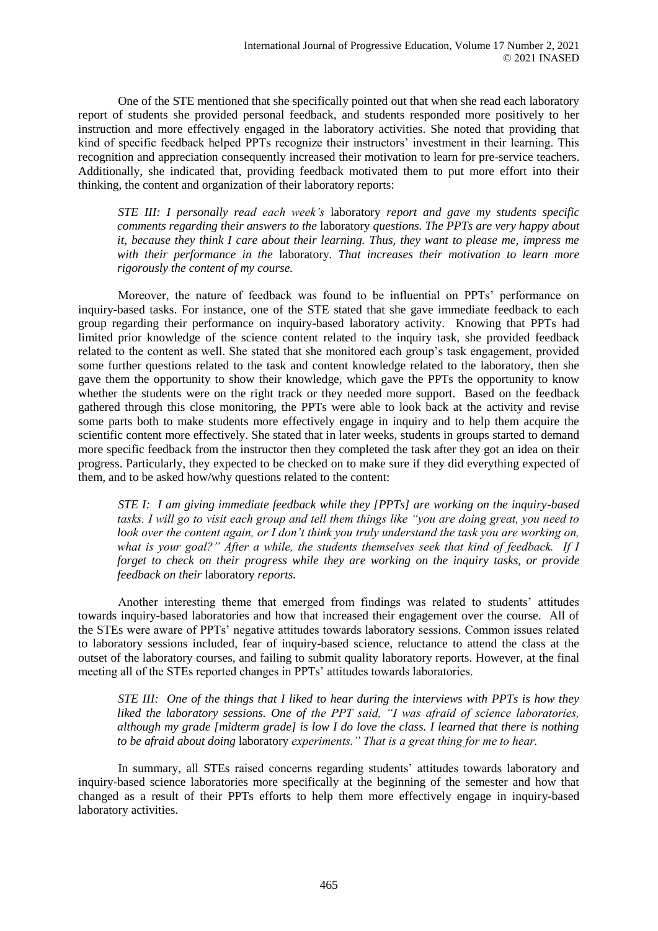One of the STE mentioned that she specifically pointed out that when she read each laboratory report of students she provided personal feedback, and students responded more positively to her instruction and more effectively engaged in the laboratory activities. She noted that providing that kind of specific feedback helped PPTs recognize their instructors' investment in their learning. This recognition and appreciation consequently increased their motivation to learn for pre-service teachers. Additionally, she indicated that, providing feedback motivated them to put more effort into their thinking, the content and organization of their laboratory reports:

*STE III: I personally read each week's* laboratory *report and gave my students specific comments regarding their answers to the* laboratory *questions. The PPTs are very happy about it, because they think I care about their learning. Thus, they want to please me, impress me with their performance in the* laboratory*. That increases their motivation to learn more rigorously the content of my course.*

Moreover, the nature of feedback was found to be influential on PPTs' performance on inquiry-based tasks. For instance, one of the STE stated that she gave immediate feedback to each group regarding their performance on inquiry-based laboratory activity. Knowing that PPTs had limited prior knowledge of the science content related to the inquiry task, she provided feedback related to the content as well. She stated that she monitored each group's task engagement, provided some further questions related to the task and content knowledge related to the laboratory, then she gave them the opportunity to show their knowledge, which gave the PPTs the opportunity to know whether the students were on the right track or they needed more support. Based on the feedback gathered through this close monitoring, the PPTs were able to look back at the activity and revise some parts both to make students more effectively engage in inquiry and to help them acquire the scientific content more effectively. She stated that in later weeks, students in groups started to demand more specific feedback from the instructor then they completed the task after they got an idea on their progress. Particularly, they expected to be checked on to make sure if they did everything expected of them, and to be asked how/why questions related to the content:

*STE I: I am giving immediate feedback while they [PPTs] are working on the inquiry-based tasks. I will go to visit each group and tell them things like "you are doing great, you need to look over the content again, or I don't think you truly understand the task you are working on, what is your goal?" After a while, the students themselves seek that kind of feedback. If I forget to check on their progress while they are working on the inquiry tasks, or provide feedback on their* laboratory *reports.*

Another interesting theme that emerged from findings was related to students' attitudes towards inquiry-based laboratories and how that increased their engagement over the course. All of the STEs were aware of PPTs' negative attitudes towards laboratory sessions. Common issues related to laboratory sessions included, fear of inquiry-based science, reluctance to attend the class at the outset of the laboratory courses, and failing to submit quality laboratory reports. However, at the final meeting all of the STEs reported changes in PPTs' attitudes towards laboratories.

*STE III: One of the things that I liked to hear during the interviews with PPTs is how they liked the laboratory sessions. One of the PPT said, "I was afraid of science laboratories, although my grade [midterm grade] is low I do love the class. I learned that there is nothing to be afraid about doing* laboratory *experiments." That is a great thing for me to hear.*

In summary, all STEs raised concerns regarding students' attitudes towards laboratory and inquiry-based science laboratories more specifically at the beginning of the semester and how that changed as a result of their PPTs efforts to help them more effectively engage in inquiry-based laboratory activities.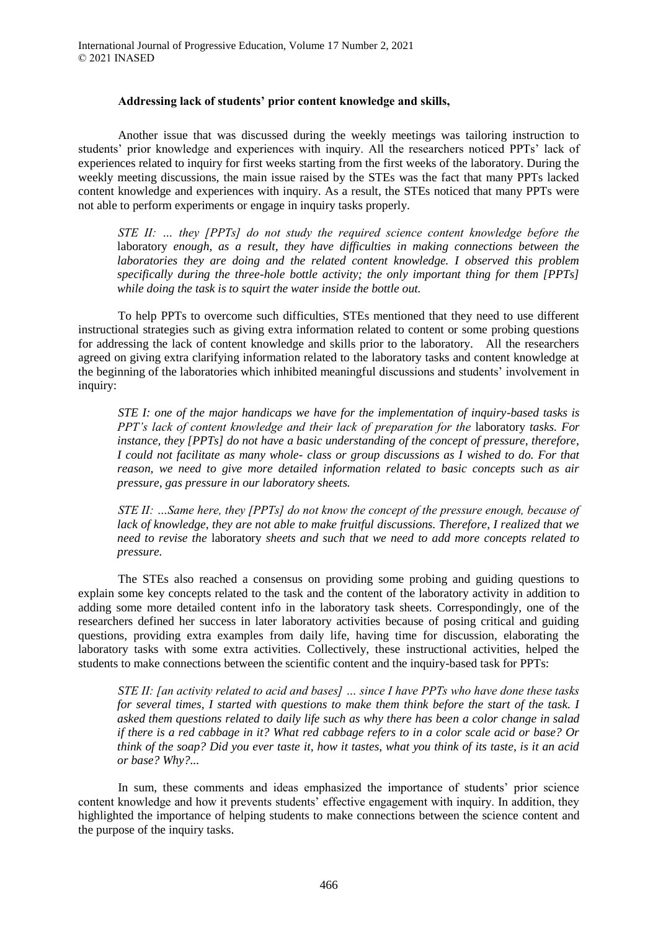#### **Addressing lack of students' prior content knowledge and skills,**

Another issue that was discussed during the weekly meetings was tailoring instruction to students' prior knowledge and experiences with inquiry. All the researchers noticed PPTs' lack of experiences related to inquiry for first weeks starting from the first weeks of the laboratory. During the weekly meeting discussions, the main issue raised by the STEs was the fact that many PPTs lacked content knowledge and experiences with inquiry. As a result, the STEs noticed that many PPTs were not able to perform experiments or engage in inquiry tasks properly.

*STE II: … they [PPTs] do not study the required science content knowledge before the*  laboratory *enough, as a result, they have difficulties in making connections between the laboratories they are doing and the related content knowledge. I observed this problem specifically during the three-hole bottle activity; the only important thing for them [PPTs] while doing the task is to squirt the water inside the bottle out.*

To help PPTs to overcome such difficulties, STEs mentioned that they need to use different instructional strategies such as giving extra information related to content or some probing questions for addressing the lack of content knowledge and skills prior to the laboratory. All the researchers agreed on giving extra clarifying information related to the laboratory tasks and content knowledge at the beginning of the laboratories which inhibited meaningful discussions and students' involvement in inquiry:

*STE I: one of the major handicaps we have for the implementation of inquiry-based tasks is PPT's lack of content knowledge and their lack of preparation for the laboratory tasks. For instance, they [PPTs] do not have a basic understanding of the concept of pressure, therefore, I could not facilitate as many whole- class or group discussions as I wished to do. For that reason, we need to give more detailed information related to basic concepts such as air pressure, gas pressure in our laboratory sheets.*

*STE II: …Same here, they [PPTs] do not know the concept of the pressure enough, because of lack of knowledge, they are not able to make fruitful discussions. Therefore, I realized that we need to revise the* laboratory *sheets and such that we need to add more concepts related to pressure.*

The STEs also reached a consensus on providing some probing and guiding questions to explain some key concepts related to the task and the content of the laboratory activity in addition to adding some more detailed content info in the laboratory task sheets. Correspondingly, one of the researchers defined her success in later laboratory activities because of posing critical and guiding questions, providing extra examples from daily life, having time for discussion, elaborating the laboratory tasks with some extra activities. Collectively, these instructional activities, helped the students to make connections between the scientific content and the inquiry-based task for PPTs:

*STE II: [an activity related to acid and bases] … since I have PPTs who have done these tasks for several times, I started with questions to make them think before the start of the task. I asked them questions related to daily life such as why there has been a color change in salad if there is a red cabbage in it? What red cabbage refers to in a color scale acid or base? Or think of the soap? Did you ever taste it, how it tastes, what you think of its taste, is it an acid or base? Why?...*

In sum, these comments and ideas emphasized the importance of students' prior science content knowledge and how it prevents students' effective engagement with inquiry. In addition, they highlighted the importance of helping students to make connections between the science content and the purpose of the inquiry tasks.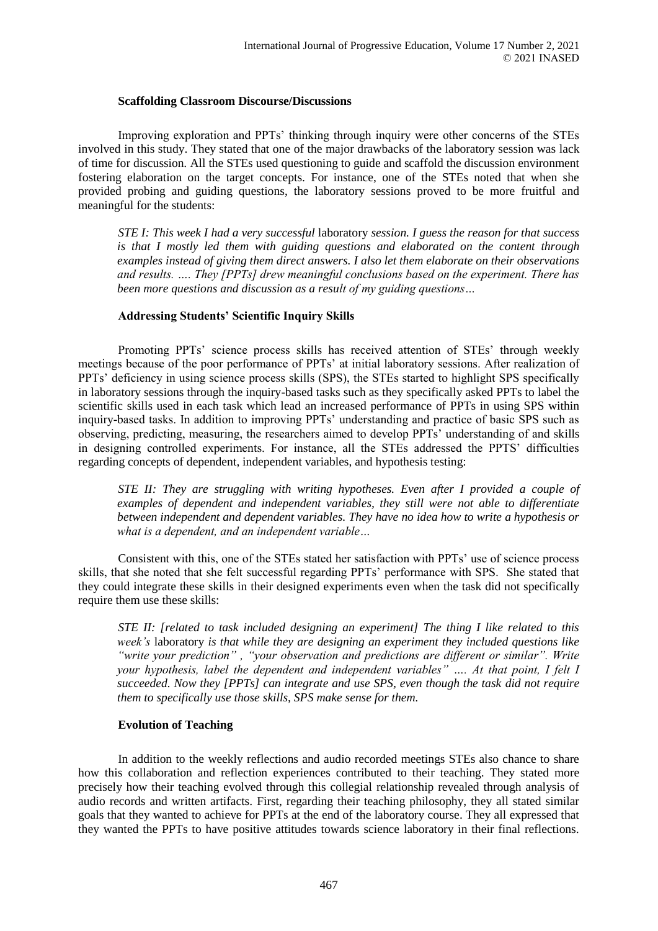#### **Scaffolding Classroom Discourse/Discussions**

Improving exploration and PPTs' thinking through inquiry were other concerns of the STEs involved in this study. They stated that one of the major drawbacks of the laboratory session was lack of time for discussion*.* All the STEs used questioning to guide and scaffold the discussion environment fostering elaboration on the target concepts. For instance, one of the STEs noted that when she provided probing and guiding questions, the laboratory sessions proved to be more fruitful and meaningful for the students:

*STE I: This week I had a very successful* laboratory *session. I guess the reason for that success is that I mostly led them with guiding questions and elaborated on the content through examples instead of giving them direct answers. I also let them elaborate on their observations and results. …. They [PPTs] drew meaningful conclusions based on the experiment. There has been more questions and discussion as a result of my guiding questions…*

## **Addressing Students' Scientific Inquiry Skills**

Promoting PPTs' science process skills has received attention of STEs' through weekly meetings because of the poor performance of PPTs' at initial laboratory sessions. After realization of PPTs' deficiency in using science process skills (SPS), the STEs started to highlight SPS specifically in laboratory sessions through the inquiry-based tasks such as they specifically asked PPTs to label the scientific skills used in each task which lead an increased performance of PPTs in using SPS within inquiry-based tasks. In addition to improving PPTs' understanding and practice of basic SPS such as observing, predicting, measuring, the researchers aimed to develop PPTs' understanding of and skills in designing controlled experiments. For instance, all the STEs addressed the PPTS' difficulties regarding concepts of dependent, independent variables, and hypothesis testing:

*STE II: They are struggling with writing hypotheses. Even after I provided a couple of examples of dependent and independent variables, they still were not able to differentiate between independent and dependent variables. They have no idea how to write a hypothesis or what is a dependent, and an independent variable…*

Consistent with this, one of the STEs stated her satisfaction with PPTs' use of science process skills, that she noted that she felt successful regarding PPTs' performance with SPS. She stated that they could integrate these skills in their designed experiments even when the task did not specifically require them use these skills:

*STE II: [related to task included designing an experiment] The thing I like related to this week's* laboratory *is that while they are designing an experiment they included questions like "write your prediction" , "your observation and predictions are different or similar". Write your hypothesis, label the dependent and independent variables" …. At that point, I felt I succeeded. Now they [PPTs] can integrate and use SPS, even though the task did not require them to specifically use those skills, SPS make sense for them.*

## **Evolution of Teaching**

In addition to the weekly reflections and audio recorded meetings STEs also chance to share how this collaboration and reflection experiences contributed to their teaching. They stated more precisely how their teaching evolved through this collegial relationship revealed through analysis of audio records and written artifacts. First, regarding their teaching philosophy, they all stated similar goals that they wanted to achieve for PPTs at the end of the laboratory course. They all expressed that they wanted the PPTs to have positive attitudes towards science laboratory in their final reflections.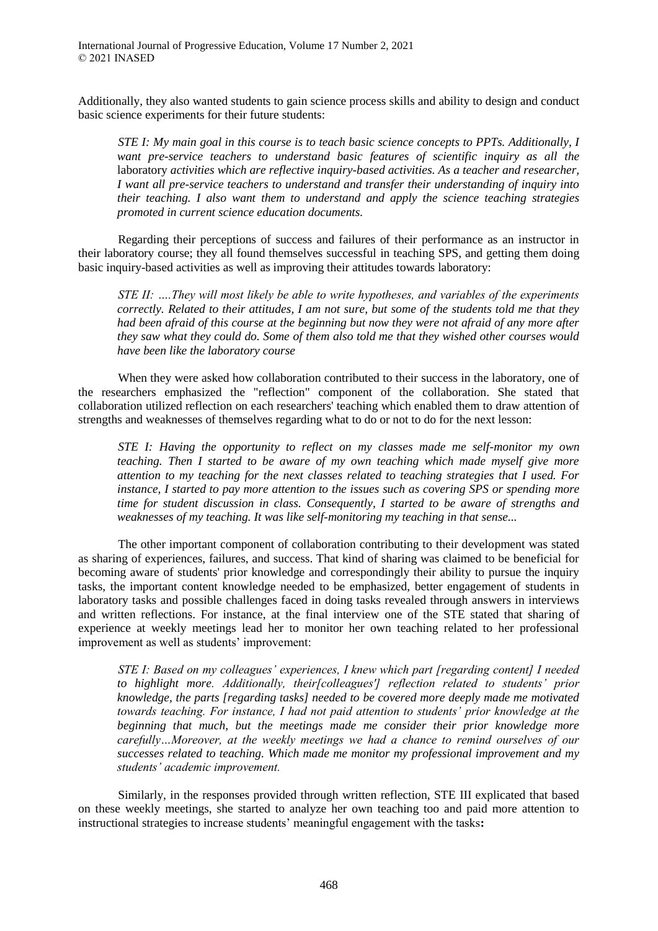Additionally, they also wanted students to gain science process skills and ability to design and conduct basic science experiments for their future students:

*STE I: My main goal in this course is to teach basic science concepts to PPTs. Additionally, I want pre-service teachers to understand basic features of scientific inquiry as all the*  laboratory *activities which are reflective inquiry-based activities. As a teacher and researcher, I want all pre-service teachers to understand and transfer their understanding of inquiry into their teaching. I also want them to understand and apply the science teaching strategies promoted in current science education documents.* 

Regarding their perceptions of success and failures of their performance as an instructor in their laboratory course; they all found themselves successful in teaching SPS, and getting them doing basic inquiry-based activities as well as improving their attitudes towards laboratory:

*STE II: ….They will most likely be able to write hypotheses, and variables of the experiments correctly. Related to their attitudes, I am not sure, but some of the students told me that they had been afraid of this course at the beginning but now they were not afraid of any more after they saw what they could do. Some of them also told me that they wished other courses would have been like the laboratory course*

When they were asked how collaboration contributed to their success in the laboratory, one of the researchers emphasized the "reflection" component of the collaboration. She stated that collaboration utilized reflection on each researchers' teaching which enabled them to draw attention of strengths and weaknesses of themselves regarding what to do or not to do for the next lesson:

*STE I: Having the opportunity to reflect on my classes made me self-monitor my own teaching. Then I started to be aware of my own teaching which made myself give more attention to my teaching for the next classes related to teaching strategies that I used. For instance, I started to pay more attention to the issues such as covering SPS or spending more time for student discussion in class. Consequently, I started to be aware of strengths and weaknesses of my teaching. It was like self-monitoring my teaching in that sense...*

The other important component of collaboration contributing to their development was stated as sharing of experiences, failures, and success. That kind of sharing was claimed to be beneficial for becoming aware of students' prior knowledge and correspondingly their ability to pursue the inquiry tasks, the important content knowledge needed to be emphasized, better engagement of students in laboratory tasks and possible challenges faced in doing tasks revealed through answers in interviews and written reflections. For instance, at the final interview one of the STE stated that sharing of experience at weekly meetings lead her to monitor her own teaching related to her professional improvement as well as students' improvement:

*STE I: Based on my colleagues' experiences, I knew which part [regarding content] I needed to highlight more. Additionally, their[colleagues'] reflection related to students' prior knowledge, the parts [regarding tasks] needed to be covered more deeply made me motivated towards teaching. For instance, I had not paid attention to students' prior knowledge at the beginning that much, but the meetings made me consider their prior knowledge more carefully…Moreover, at the weekly meetings we had a chance to remind ourselves of our successes related to teaching. Which made me monitor my professional improvement and my students' academic improvement.*

Similarly, in the responses provided through written reflection, STE III explicated that based on these weekly meetings, she started to analyze her own teaching too and paid more attention to instructional strategies to increase students' meaningful engagement with the tasks**:**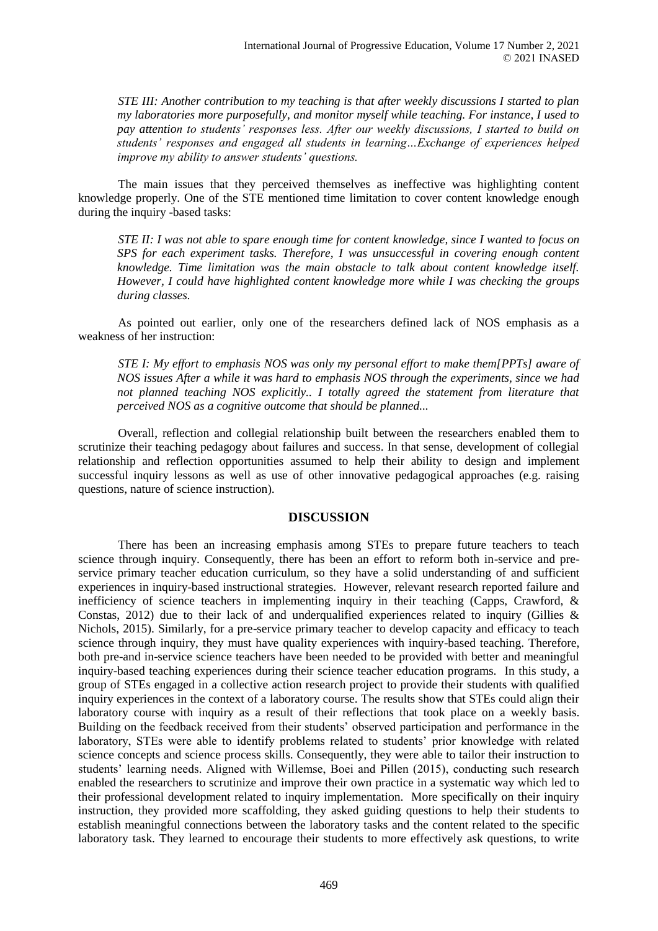*STE III: Another contribution to my teaching is that after weekly discussions I started to plan my laboratories more purposefully, and monitor myself while teaching. For instance, I used to pay attention to students' responses less. After our weekly discussions, I started to build on students' responses and engaged all students in learning…Exchange of experiences helped improve my ability to answer students' questions.*

The main issues that they perceived themselves as ineffective was highlighting content knowledge properly. One of the STE mentioned time limitation to cover content knowledge enough during the inquiry -based tasks:

*STE II: I was not able to spare enough time for content knowledge, since I wanted to focus on SPS for each experiment tasks. Therefore, I was unsuccessful in covering enough content knowledge. Time limitation was the main obstacle to talk about content knowledge itself. However, I could have highlighted content knowledge more while I was checking the groups during classes.*

As pointed out earlier, only one of the researchers defined lack of NOS emphasis as a weakness of her instruction:

*STE I: My effort to emphasis NOS was only my personal effort to make them[PPTs] aware of NOS issues After a while it was hard to emphasis NOS through the experiments, since we had not planned teaching NOS explicitly.. I totally agreed the statement from literature that perceived NOS as a cognitive outcome that should be planned...*

Overall, reflection and collegial relationship built between the researchers enabled them to scrutinize their teaching pedagogy about failures and success. In that sense, development of collegial relationship and reflection opportunities assumed to help their ability to design and implement successful inquiry lessons as well as use of other innovative pedagogical approaches (e.g. raising questions, nature of science instruction).

## **DISCUSSION**

There has been an increasing emphasis among STEs to prepare future teachers to teach science through inquiry. Consequently, there has been an effort to reform both in-service and preservice primary teacher education curriculum, so they have a solid understanding of and sufficient experiences in inquiry-based instructional strategies. However, relevant research reported failure and inefficiency of science teachers in implementing inquiry in their teaching (Capps, Crawford, & Constas, 2012) due to their lack of and underqualified experiences related to inquiry (Gillies  $\&$ Nichols, 2015). Similarly, for a pre-service primary teacher to develop capacity and efficacy to teach science through inquiry, they must have quality experiences with inquiry-based teaching. Therefore, both pre-and in-service science teachers have been needed to be provided with better and meaningful inquiry-based teaching experiences during their science teacher education programs. In this study, a group of STEs engaged in a collective action research project to provide their students with qualified inquiry experiences in the context of a laboratory course. The results show that STEs could align their laboratory course with inquiry as a result of their reflections that took place on a weekly basis. Building on the feedback received from their students' observed participation and performance in the laboratory, STEs were able to identify problems related to students' prior knowledge with related science concepts and science process skills. Consequently, they were able to tailor their instruction to students' learning needs. Aligned with Willemse, Boei and Pillen (2015), conducting such research enabled the researchers to scrutinize and improve their own practice in a systematic way which led to their professional development related to inquiry implementation. More specifically on their inquiry instruction, they provided more scaffolding, they asked guiding questions to help their students to establish meaningful connections between the laboratory tasks and the content related to the specific laboratory task. They learned to encourage their students to more effectively ask questions, to write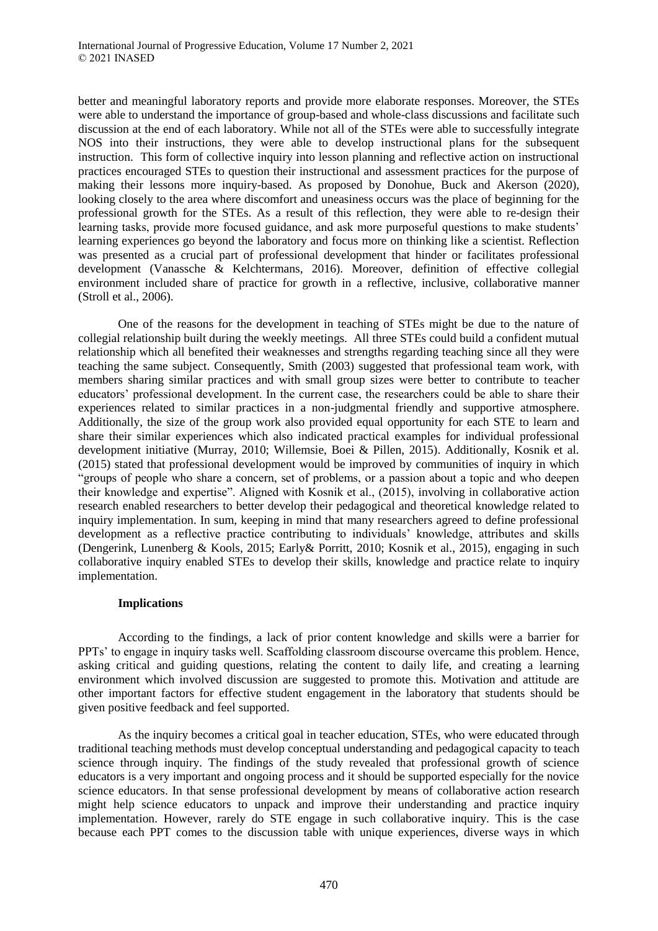better and meaningful laboratory reports and provide more elaborate responses. Moreover, the STEs were able to understand the importance of group-based and whole-class discussions and facilitate such discussion at the end of each laboratory. While not all of the STEs were able to successfully integrate NOS into their instructions, they were able to develop instructional plans for the subsequent instruction. This form of collective inquiry into lesson planning and reflective action on instructional practices encouraged STEs to question their instructional and assessment practices for the purpose of making their lessons more inquiry-based. As proposed by Donohue, Buck and Akerson (2020), looking closely to the area where discomfort and uneasiness occurs was the place of beginning for the professional growth for the STEs. As a result of this reflection, they were able to re-design their learning tasks, provide more focused guidance, and ask more purposeful questions to make students' learning experiences go beyond the laboratory and focus more on thinking like a scientist. Reflection was presented as a crucial part of professional development that hinder or facilitates professional development (Vanassche & Kelchtermans, 2016). Moreover, definition of effective collegial environment included share of practice for growth in a reflective, inclusive, collaborative manner (Stroll et al., 2006).

One of the reasons for the development in teaching of STEs might be due to the nature of collegial relationship built during the weekly meetings. All three STEs could build a confident mutual relationship which all benefited their weaknesses and strengths regarding teaching since all they were teaching the same subject. Consequently, Smith (2003) suggested that professional team work, with members sharing similar practices and with small group sizes were better to contribute to teacher educators' professional development. In the current case, the researchers could be able to share their experiences related to similar practices in a non-judgmental friendly and supportive atmosphere. Additionally, the size of the group work also provided equal opportunity for each STE to learn and share their similar experiences which also indicated practical examples for individual professional development initiative (Murray, 2010; Willemsie, Boei & Pillen, 2015). Additionally, Kosnik et al. (2015) stated that professional development would be improved by communities of inquiry in which "groups of people who share a concern, set of problems, or a passion about a topic and who deepen their knowledge and expertise". Aligned with Kosnik et al., (2015), involving in collaborative action research enabled researchers to better develop their pedagogical and theoretical knowledge related to inquiry implementation. In sum, keeping in mind that many researchers agreed to define professional development as a reflective practice contributing to individuals' knowledge, attributes and skills (Dengerink, Lunenberg & Kools, 2015; Early& Porritt, 2010; Kosnik et al., 2015), engaging in such collaborative inquiry enabled STEs to develop their skills, knowledge and practice relate to inquiry implementation.

## **Implications**

According to the findings, a lack of prior content knowledge and skills were a barrier for PPTs' to engage in inquiry tasks well. Scaffolding classroom discourse overcame this problem. Hence, asking critical and guiding questions, relating the content to daily life, and creating a learning environment which involved discussion are suggested to promote this. Motivation and attitude are other important factors for effective student engagement in the laboratory that students should be given positive feedback and feel supported.

As the inquiry becomes a critical goal in teacher education, STEs, who were educated through traditional teaching methods must develop conceptual understanding and pedagogical capacity to teach science through inquiry. The findings of the study revealed that professional growth of science educators is a very important and ongoing process and it should be supported especially for the novice science educators. In that sense professional development by means of collaborative action research might help science educators to unpack and improve their understanding and practice inquiry implementation. However, rarely do STE engage in such collaborative inquiry. This is the case because each PPT comes to the discussion table with unique experiences, diverse ways in which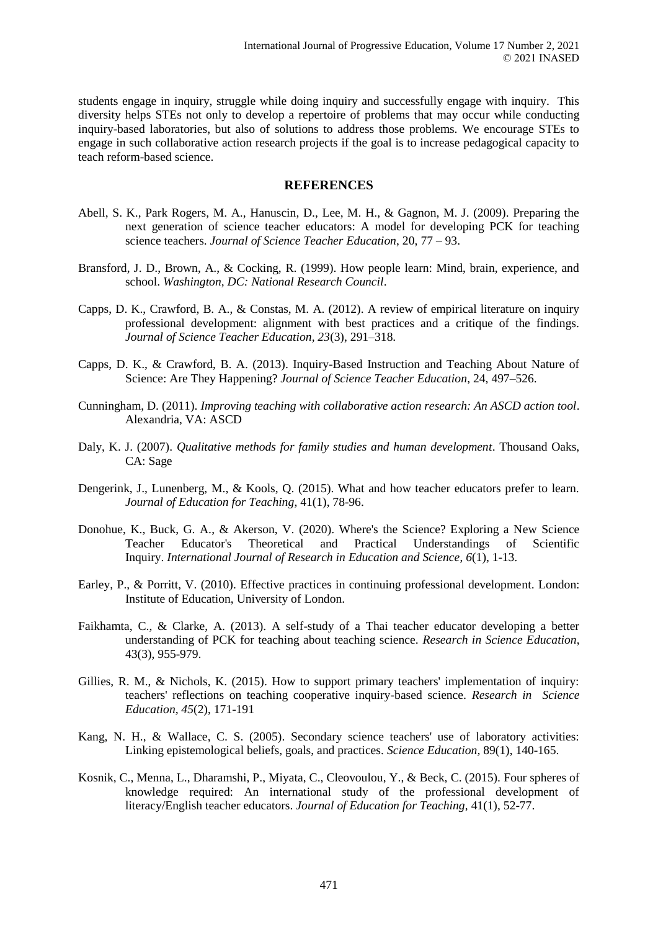students engage in inquiry, struggle while doing inquiry and successfully engage with inquiry. This diversity helps STEs not only to develop a repertoire of problems that may occur while conducting inquiry-based laboratories, but also of solutions to address those problems. We encourage STEs to engage in such collaborative action research projects if the goal is to increase pedagogical capacity to teach reform-based science.

## **REFERENCES**

- Abell, S. K., Park Rogers, M. A., Hanuscin, D., Lee, M. H., & Gagnon, M. J. (2009). Preparing the next generation of science teacher educators: A model for developing PCK for teaching science teachers. *Journal of Science Teacher Education*, 20, 77 – 93.
- Bransford, J. D., Brown, A., & Cocking, R. (1999). How people learn: Mind, brain, experience, and school. *Washington, DC: National Research Council*.
- Capps, D. K., Crawford, B. A., & Constas, M. A. (2012). A review of empirical literature on inquiry professional development: alignment with best practices and a critique of the findings. *Journal of Science Teacher Education, 23*(3), 291–318.
- Capps, D. K., & Crawford, B. A. (2013). Inquiry-Based Instruction and Teaching About Nature of Science: Are They Happening? *Journal of Science Teacher Education*, 24, 497–526.
- Cunningham, D. (2011). *Improving teaching with collaborative action research: An ASCD action tool*. Alexandria, VA: ASCD
- Daly, K. J. (2007). *Qualitative methods for family studies and human development*. Thousand Oaks, CA: Sage
- Dengerink, J., Lunenberg, M., & Kools, Q. (2015). What and how teacher educators prefer to learn. *Journal of Education for Teaching*, 41(1), 78-96.
- Donohue, K., Buck, G. A., & Akerson, V. (2020). Where's the Science? Exploring a New Science Teacher Educator's Theoretical and Practical Understandings of Scientific Inquiry. *International Journal of Research in Education and Science*, *6*(1), 1-13.
- Earley, P., & Porritt, V. (2010). Effective practices in continuing professional development. London: Institute of Education, University of London.
- Faikhamta, C., & Clarke, A. (2013). A self-study of a Thai teacher educator developing a better understanding of PCK for teaching about teaching science. *Research in Science Education*, 43(3), 955-979.
- Gillies, R. M., & Nichols, K. (2015). How to support primary teachers' implementation of inquiry: teachers' reflections on teaching cooperative inquiry-based science. *Research in Science Education, 45*(2), 171-191
- Kang, N. H., & Wallace, C. S. (2005). Secondary science teachers' use of laboratory activities: Linking epistemological beliefs, goals, and practices. *Science Education,* 89(1), 140-165.
- Kosnik, C., Menna, L., Dharamshi, P., Miyata, C., Cleovoulou, Y., & Beck, C. (2015). Four spheres of knowledge required: An international study of the professional development of literacy/English teacher educators. *Journal of Education for Teaching*, 41(1), 52-77.